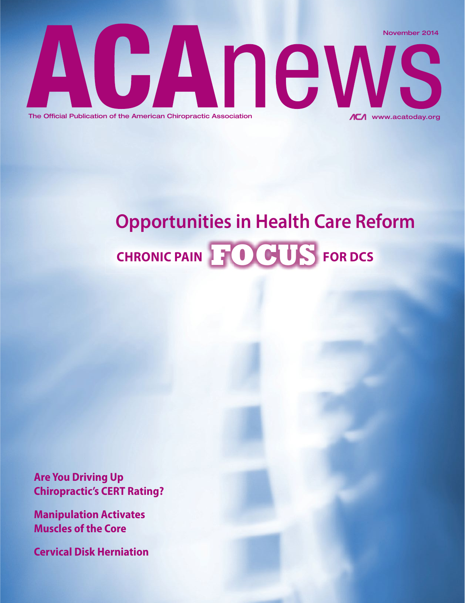

# CHRONIC PAIN **ENDING STORES Opportunities in Health Care Reform**

**Are You Driving Up Chiropractic's CERT Rating?**

**Manipulation Activates Muscles of the Core**

**Cervical Disk Herniation**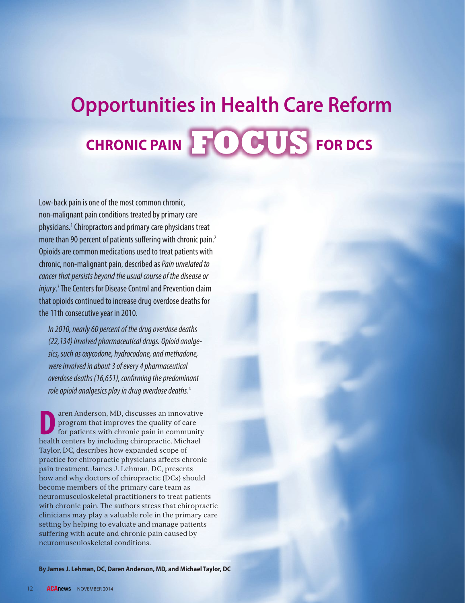# **CHRONIC PAIN FOR DCS Opportunities in Health Care Reform FOCUS**

Low-back pain is one of the most common chronic, non-malignant pain conditions treated by primary care physicians.1 Chiropractors and primary care physicians treat more than 90 percent of patients suffering with chronic pain.<sup>2</sup> Opioids are common medications used to treat patients with chronic, non-malignant pain, described as Pain unrelated to cancer that persists beyond the usual course of the disease or injury.<sup>3</sup> The Centers for Disease Control and Prevention claim that opioids continued to increase drug overdose deaths for the 11th consecutive year in 2010.

In 2010, nearly 60 percent of the drug overdose deaths (22,134) involved pharmaceutical drugs. Opioid analgesics, such as oxycodone, hydrocodone, and methadone, were involved in about 3 of every 4 pharmaceutical overdose deaths (16,651), confirming the predominant role opioid analgesics play in drug overdose deaths. 4

**D** aren Anderson, MD, discusses an innovative<br>program that improves the quality of care<br>for patients with chronic pain in community<br>health centers by including chiropractic Michael program that improves the quality of care for patients with chronic pain in community health centers by including chiropractic. Michael Taylor, DC, describes how expanded scope of practice for chiropractic physicians affects chronic pain treatment. James J. Lehman, DC, presents how and why doctors of chiropractic (DCs) should become members of the primary care team as neuromusculoskeletal practitioners to treat patients with chronic pain. The authors stress that chiropractic clinicians may play a valuable role in the primary care setting by helping to evaluate and manage patients suffering with acute and chronic pain caused by neuromusculoskeletal conditions.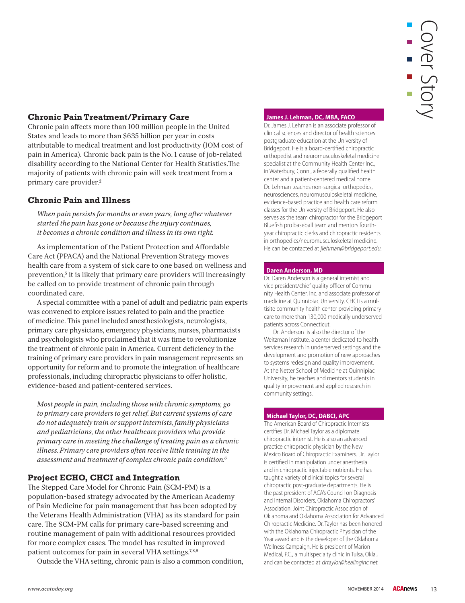# **Chronic Pain Treatment/Primary Care**

Chronic pain affects more than 100 million people in the United States and leads to more than \$635 billion per year in costs attributable to medical treatment and lost productivity (IOM cost of pain in America). Chronic back pain is the No. 1 cause of job-related disability according to the National Center for Health Statistics.The majority of patients with chronic pain will seek treatment from a primary care provider.²

### **Chronic Pain and Illness**

*When pain persists for months or even years, long after whatever started the pain has gone or because the injury continues, it becomes a chronic condition and illness in its own right.*

As implementation of the Patient Protection and Affordable Care Act (PPACA) and the National Prevention Strategy moves health care from a system of sick care to one based on wellness and prevention,<sup>5</sup> it is likely that primary care providers will increasingly be called on to provide treatment of chronic pain through coordinated care.

A special committee with a panel of adult and pediatric pain experts was convened to explore issues related to pain and the practice of medicine. This panel included anesthesiologists, neurologists, primary care physicians, emergency physicians, nurses, pharmacists and psychologists who proclaimed that it was time to revolutionize the treatment of chronic pain in America. Current deficiency in the training of primary care providers in pain management represents an opportunity for reform and to promote the integration of healthcare professionals, including chiropractic physicians to offer holistic, evidence-based and patient-centered services.

*Most people in pain, including those with chronic symptoms, go to primary care providers to get relief. But current systems of care do not adequately train or support internists, family physicians and pediatricians, the other healthcare providers who provide primary care in meeting the challenge of treating pain as a chronic illness. Primary care providers often receive little training in the assessment and treatment of complex chronic pain condition.6*

### **Project ECHO, CHCI and Integration**

The Stepped Care Model for Chronic Pain (SCM-PM) is a population-based strategy advocated by the American Academy of Pain Medicine for pain management that has been adopted by the Veterans Health Administration (VHA) as its standard for pain care. The SCM-PM calls for primary care-based screening and routine management of pain with additional resources provided for more complex cases. The model has resulted in improved patient outcomes for pain in several VHA settings.<sup>7,8,9</sup>

Outside the VHA setting, chronic pain is also a common condition,

#### **James J. Lehman, DC, MBA, FACO**

Dr. James J. Lehman is an associate professor of clinical sciences and director of health sciences postgraduate education at the University of Bridgeport. He is a board-certified chiropractic orthopedist and neuromusculoskeletal medicine specialist at the Community Health Center Inc., in Waterbury, Conn., a federally qualified health center and a patient-centered medical home. Dr. Lehman teaches non-surgical orthopedics, neurosciences, neuromusculoskeletal medicine, evidence-based practice and health care reform classes for the University of Bridgeport. He also serves as the team chiropractor for the Bridgeport Bluefish pro baseball team and mentors fourthyear chiropractic clerks and chiropractic residents in orthopedics/neuromusculoskeletal medicine. He can be contacted at jlehman@bridgeport.edu.

#### **Daren Anderson, MD**

Dr. Daren Anderson is a general internist and vice president/chief quality officer of Community Health Center, Inc. and associate professor of medicine at Quinnipiac University. CHCI is a multisite community health center providing primary care to more than 130,000 medically underserved patients across Connecticut.

Dr. Anderson is also the director of the Weitzman Institute, a center dedicated to health services research in underserved settings and the development and promotion of new approaches to systems redesign and quality improvement. At the Netter School of Medicine at Quinnipiac University, he teaches and mentors students in quality improvement and applied research in community settings.

#### **Michael Taylor, DC, DABCI, APC**

The American Board of Chiropractic Internists certifies Dr. Michael Taylor as a diplomate chiropractic internist. He is also an advanced practice chiropractic physician by the New Mexico Board of Chiropractic Examiners. Dr. Taylor is certified in manipulation under anesthesia and in chiropractic injectable nutrients. He has taught a variety of clinical topics for several chiropractic post-graduate departments. He is the past president of ACA's Council on Diagnosis and Internal Disorders, Oklahoma Chiropractors' Association, Joint Chiropractic Association of Oklahoma and Oklahoma Association for Advanced Chiropractic Medicine. Dr. Taylor has been honored with the Oklahoma Chiropractic Physician of the Year award and is the developer of the Oklahoma Wellness Campaign. He is president of Marion Medical, P.C., a multispecialty clinic in Tulsa, Okla., and can be contacted at drtaylor@healinginc.net.

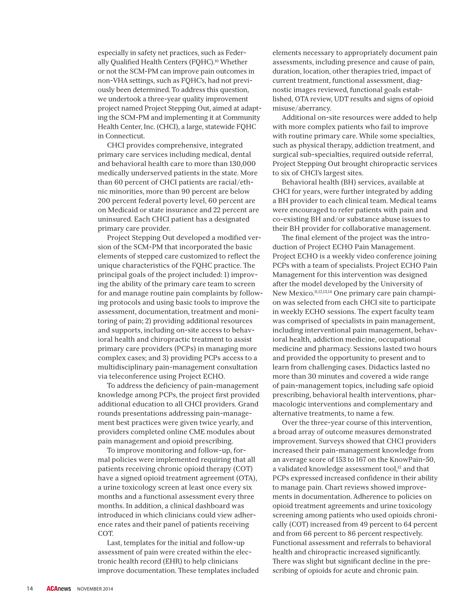especially in safety net practices, such as Federally Qualified Health Centers (FQHC).<sup>10</sup> Whether or not the SCM-PM can improve pain outcomes in non-VHA settings, such as FQHC's, had not previously been determined. To address this question, we undertook a three-year quality improvement project named Project Stepping Out, aimed at adapting the SCM-PM and implementing it at Community Health Center, Inc. (CHCI), a large, statewide FQHC in Connecticut.

CHCI provides comprehensive, integrated primary care services including medical, dental and behavioral health care to more than 130,000 medically underserved patients in the state. More than 60 percent of CHCI patients are racial/ethnic minorities, more than 90 percent are below 200 percent federal poverty level, 60 percent are on Medicaid or state insurance and 22 percent are uninsured. Each CHCI patient has a designated primary care provider.

Project Stepping Out developed a modified version of the SCM-PM that incorporated the basic elements of stepped care customized to reflect the unique characteristics of the FQHC practice. The  $\,$ principal goals of the project included: 1) improving the ability of the primary care team to screen for and manage routine pain complaints by following protocols and using basic tools to improve the assessment, documentation, treatment and monitoring of pain; 2) providing additional resources and supports, including on-site access to behavioral health and chiropractic treatment to assist primary care providers (PCPs) in managing more complex cases; and 3) providing PCPs access to a multidisciplinary pain-management consultation via teleconference using Project ECHO.

To address the deficiency of pain-management knowledge among PCPs, the project first provided additional education to all CHCI providers. Grand rounds presentations addressing pain-management best practices were given twice yearly, and providers completed online CME modules about pain management and opioid prescribing.

To improve monitoring and follow-up, formal policies were implemented requiring that all patients receiving chronic opioid therapy (COT) have a signed opioid treatment agreement (OTA), a urine toxicology screen at least once every six months and a functional assessment every three months. In addition, a clinical dashboard was introduced in which clinicians could view adherence rates and their panel of patients receiving COT.

Last, templates for the initial and follow-up assessment of pain were created within the electronic health record (EHR) to help clinicians improve documentation. These templates included

elements necessary to appropriately document pain assessments, including presence and cause of pain, duration, location, other therapies tried, impact of current treatment, functional assessment, diagnostic images reviewed, functional goals established, OTA review, UDT results and signs of opioid misuse/aberrancy.

Additional on-site resources were added to help with more complex patients who fail to improve with routine primary care. While some specialties, such as physical therapy, addiction treatment, and surgical sub-specialties, required outside referral, Project Stepping Out brought chiropractic services to six of CHCI's largest sites.

Behavioral health (BH) services, available at CHCI for years, were further integrated by adding a BH provider to each clinical team. Medical teams were encouraged to refer patients with pain and co-existing BH and/or substance abuse issues to their BH provider for collaborative management.

The final element of the project was the introduction of Project ECHO Pain Management. Project ECHO is a weekly video conference joining PCPs with a team of specialists. Project ECHO Pain Management for this intervention was designed after the model developed by the University of New Mexico.11,12,13,14 One primary care pain champion was selected from each CHCI site to participate in weekly ECHO sessions. The expert faculty team was comprised of specialists in pain management, including interventional pain management, behavioral health, addiction medicine, occupational medicine and pharmacy. Sessions lasted two hours and provided the opportunity to present and to learn from challenging cases. Didactics lasted no more than 30 minutes and covered a wide range of pain-management topics, including safe opioid prescribing, behavioral health interventions, pharmacologic interventions and complementary and alternative treatments, to name a few.

Over the three-year course of this intervention, a broad array of outcome measures demonstrated improvement. Surveys showed that CHCI providers increased their pain-management knowledge from an average score of 153 to 167 on the KnowPain-50, a validated knowledge assessment tool,<sup>15</sup> and that PCPs expressed increased confidence in their ability to manage pain. Chart reviews showed improvements in documentation. Adherence to policies on opioid treatment agreements and urine toxicology screening among patients who used opioids chronically (COT) increased from 49 percent to 64 percent and from 66 percent to 86 percent respectively. Functional assessment and referrals to behavioral health and chiropractic increased significantly. -ere was slight but significant decline in the prescribing of opioids for acute and chronic pain.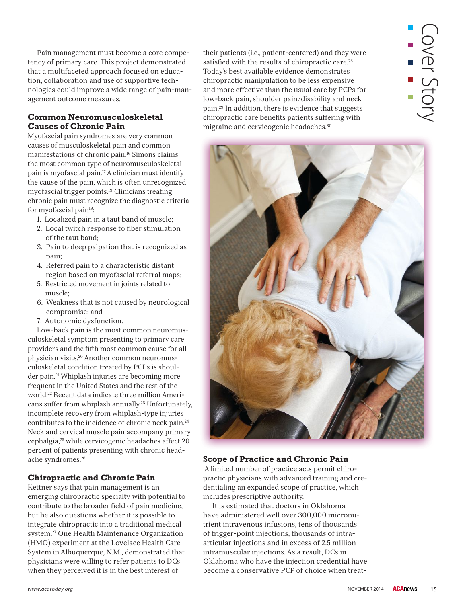Pain management must become a core competency of primary care. This project demonstrated that a multifaceted approach focused on education, collaboration and use of supportive technologies could improve a wide range of pain-management outcome measures.

## **Common Neuromusculoskeletal Causes of Chronic Pain**

Myofascial pain syndromes are very common causes of musculoskeletal pain and common manifestations of chronic pain.16 Simons claims the most common type of neuromusculoskeletal pain is myofascial pain.17 A clinician must identify the cause of the pain, which is often unrecognized myofascial trigger points.18 Clinicians treating chronic pain must recognize the diagnostic criteria for myofascial pain<sup>19</sup>:

- 1. Localized pain in a taut band of muscle;
- 2. Local twitch response to fiber stimulation of the taut band;
- 3. Pain to deep palpation that is recognized as pain;
- 4. Referred pain to a characteristic distant region based on myofascial referral maps;
- 5. Restricted movement in joints related to muscle;
- 6. Weakness that is not caused by neurological compromise; and
- 7. Autonomic dysfunction.

Low-back pain is the most common neuromusculoskeletal symptom presenting to primary care providers and the fifth most common cause for all physician visits.20 Another common neuromusculoskeletal condition treated by PCPs is shoulder pain.21 Whiplash injuries are becoming more frequent in the United States and the rest of the world.22 Recent data indicate three million Americans suffer from whiplash annually.<sup>23</sup> Unfortunately, incomplete recovery from whiplash-type injuries contributes to the incidence of chronic neck pain.24 Neck and cervical muscle pain accompany primary cephalgia,25 while cervicogenic headaches affect 20 percent of patients presenting with chronic headache syndromes.26

# **Chiropractic and Chronic Pain**

Kettner says that pain management is an emerging chiropractic specialty with potential to contribute to the broader field of pain medicine, but he also questions whether it is possible to integrate chiropractic into a traditional medical system.27 One Health Maintenance Organization (HMO) experiment at the Lovelace Health Care System in Albuquerque, N.M., demonstrated that physicians were willing to refer patients to DCs when they perceived it is in the best interest of

their patients (i.e., patient-centered) and they were satisfied with the results of chiropractic care.<sup>28</sup> Today's best available evidence demonstrates chiropractic manipulation to be less expensive and more effective than the usual care by PCPs for low-back pain, shoulder pain/disability and neck pain.29 In addition, there is evidence that suggests chiropractic care benefits patients suffering with migraine and cervicogenic headaches.<sup>30</sup>





### **Scope of Practice and Chronic Pain**

 A limited number of practice acts permit chiropractic physicians with advanced training and credentialing an expanded scope of practice, which includes prescriptive authority.

It is estimated that doctors in Oklahoma have administered well over 300,000 micronutrient intravenous infusions, tens of thousands of trigger-point injections, thousands of intraarticular injections and in excess of 2.5 million intramuscular injections. As a result, DCs in Oklahoma who have the injection credential have become a conservative PCP of choice when treat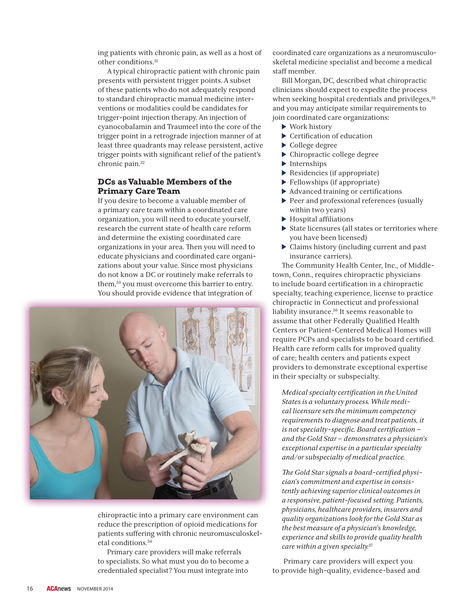ing patients with chronic pain, as well as a host of other conditions.31

A typical chiropractic patient with chronic pain presents with persistent trigger points. A subset of these patients who do not adequately respond to standard chiropractic manual medicine interventions or modalities could be candidates for trigger-point injection therapy. An injection of cyanocobalamin and Traumeel into the core of the trigger point in a retrograde injection manner of at least three quadrants may release persistent, active trigger points with significant relief of the patient's chronic pain.32

#### **DCs as Valuable Members of the Primary Care Team**

If you desire to become a valuable member of a primary care team within a coordinated care organization, you will need to educate yourself, research the current state of health care reform and determine the existing coordinated care organizations in your area. Then you will need to educate physicians and coordinated care organizations about your value. Since most physicians do not know a DC or routinely make referrals to them,<sup>33</sup> you must overcome this barrier to entry. You should provide evidence that integration of



chiropractic into a primary care environment can reduce the prescription of opioid medications for patients suffering with chronic neuromusculoskeletal conditions.34

Primary care providers will make referrals to specialists. So what must you do to become a credentialed specialist? You must integrate into

coordinated care organizations as a neuromusculoskeletal medicine specialist and become a medical staff member.

Bill Morgan, DC, described what chiropractic clinicians should expect to expedite the process when seeking hospital credentials and privileges,<sup>35</sup> and you may anticipate similar requirements to join coordinated care organizations:

- ▶ Work history
- $\blacktriangleright$  Certification of education
- ▶ College degree
- Chiropractic college degree
- $\blacktriangleright$  Internships
- Residencies (if appropriate)
- $\blacktriangleright$  Fellowships (if appropriate)
- $\blacktriangleright$  Advanced training or certifications
- Peer and professional references (usually within two years)
- $\blacktriangleright$  Hospital affiliations
- $\triangleright$  State licensures (all states or territories where you have been licensed)
- Claims history (including current and past insurance carriers).

The Community Health Center, Inc., of Middletown, Conn., requires chiropractic physicians to include board certification in a chiropractic specialty, teaching experience, license to practice chiropractic in Connecticut and professional liability insurance.<sup>36</sup> It seems reasonable to assume that other Federally Qualified Health Centers or Patient-Centered Medical Homes will require PCPs and specialists to be board certified. Health care reform calls for improved quality of care; health centers and patients expect providers to demonstrate exceptional expertise in their specialty or subspecialty.

*Medical specialty certifi cation in the United States is a voluntary process. While medical licensure sets the minimum competency requirements to diagnose and treat patients, it*  is not specialty-specific. Board certification – *and the Gold Star — demonstrates a physician's exceptional expertise in a particular specialty and/or subspecialty of medical practice.* 

*- e Gold Star signals a board-certifi ed physician's commitment and expertise in consistently achieving superior clinical outcomes in a responsive, patient-focused setting. Patients, physicians, healthcare providers, insurers and quality organizations look for the Gold Star as the best measure of a physician's knowledge, experience and skills to provide quality health care within a given specialty.*<sup>37</sup>

 Primary care providers will expect you to provide high-quality, evidence-based and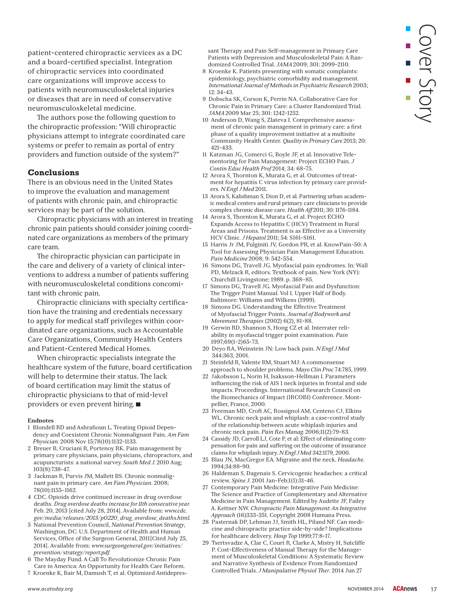patient-centered chiropractic services as a DC and a board-certified specialist. Integration of chiropractic services into coordinated care organizations will improve access to patients with neuromusculoskeletal injuries or diseases that are in need of conservative neuromusculoskeletal medicine.

The authors pose the following question to the chiropractic profession: "Will chiropractic physicians attempt to integrate coordinated care systems or prefer to remain as portal of entry providers and function outside of the system?"

#### **Conclusions**

There is an obvious need in the United States to improve the evaluation and management of patients with chronic pain, and chiropractic services may be part of the solution.

Chiropractic physicians with an interest in treating chronic pain patients should consider joining coordinated care organizations as members of the primary care team.

The chiropractic physician can participate in the care and delivery of a variety of clinical interventions to address a number of patients suffering with neuromusculoskeletal conditions concomitant with chronic pain.

Chiropractic clinicians with specialty certification have the training and credentials necessary to apply for medical staff privileges within coordinated care organizations, such as Accountable Care Organizations, Community Health Centers and Patient-Centered Medical Homes.

When chiropractic specialists integrate the healthcare system of the future, board certification will help to determine their status. The lack of board certification may limit the status of chiropractic physicians to that of mid-level providers or even prevent hiring. ■

#### **Endnotes**

- 1 Blondell RD and Ashrafioun L. Treating Opioid Dependency and Coexistent Chronic Nonmalignant Pain. *Am Fam Physician.* 2008 Nov 15;78(10):1132-1133.
- 2 Breuer B, Cruciani R, Portenoy RK. Pain management by primary care physicians, pain physicians, chiropractors, and acupuncturists: a national survey. *South Med J.* 2010 Aug; 103(8):738-47.
- 3 Jackman R, Purvis JM, Mallett BS. Chronic nonmalignant pain in primary care. *Am Fam Physician*. 2008; 78(10):1155–1162.
- 4 CDC. Opioids drive continued increase in drug overdose deaths. *Drug overdose deaths increase for 11th consecutive year.*  Feb. 20, 2013 [cited July 28, 2014]. Available from: *www.cdc. gov/media/releases/2013/p0220\_drug\_overdose\_deaths.html.*
- 5 National Prevention Council, *National Prevention Strategy*, Washington, DC: U.S. Department of Health and Human Services, Office of the Surgeon General, 2011[Cited July 25, 2014]. Available from: *www.surgeongeneral.gov/initiatives/ prevention/strategy/report.pdf.*
- 6 The Mayday Fund. A Call To Revolutionize Chronic Pain Care in America: An Opportunity for Health Care Reform.
- 7 Kroenke K, Bair M, Damush T, et al. Optimized Antidepres-

sant Therapy and Pain Self-management in Primary Care Patients with Depression and Musculoskeletal Pain: A Randomized Controlled Trial. *JAMA* 2009; 301: 2099-2110.

- 8 Kroenke K. Patients presenting with somatic complaints: epidemiology, psychiatric comorbidity and management. *International Journal of Methods in Psychiatric Research* 2003; 12: 34-43.
- 9 Dobscha SK, Corson K, Perrin NA. Collaborative Care for Chronic Pain in Primary Care: a Cluster Randomized Trial. *JAMA* 2009 Mar 25; 301: 1242-1252.
- 10 Anderson D, Wang S, Zlateva I. Comprehensive assessment of chronic pain management in primary care: a first phase of a quality improvement initiative at a multisite Community Health Center. *Quality in Primary Care* 2013; 20: 421-433.
- 11 Katzman JG, Comerci G, Boyle JF, et al. Innovative Telementoring for Pain Management: Project ECHO Pain. *J Contin Educ Health Prof* 2014; 34: 68-75.
- 12 Arora S, Thornton K, Murata G, et al. Outcomes of treatment for hepatitis C virus infection by primary care providers. *N Engl J Med* 2011.
- 13 Arora S, Kalishman S, Dion D, et al. Partnering urban academic medical centers and rural primary care clinicians to provide complex chronic disease care. *Health Aff* 2011; 30: 1176-1184.
- 14 Arora S, Thornton K, Murata G, et al. Project ECHO Expands Access to Hepatitis C (HCV) Treatment in Rural Areas and Prisons. Treatment is as Effective as a University HCV Clinic. *J Hepatol* 2011; 54: S161-S161.
- 15 Harris Jr JM, Fulginiti JV, Gordon PR, et al. KnowPain-50: A Tool for Assessing Physician Pain Management Education. *Pain Medicine* 2008; 9: 542-554.
- 16 Simons DG, Travell JG. Myofascial pain syndromes. In: Wall PD, Melzack R, editors. Textbook of pain. New York (NY): Churchill Livingstone; 1989. p. 368–85.
- 17 Simons DG, Travell JG. Myofascial Pain and Dysfunction: The Trigger Point Manual. Vol 1. Upper Half of Body. Baltimore: Williams and Wilkens (1999).
- 18 Simons DG. Understanding the Effective Treatment of Myofascial Trigger Points. *Journal of Bodywork and Movement -erapies* (2002) 6(2), 81-88.
- 19 Gerwin RD, Shannon S, Hong CZ et al. Interrater reliability in myofascial trigger point examination. *Pain*  1997;69(1-2)65-73.
- 20 Deyo RA, Weinstein JN: Low back pain. *N Engl J Med* 344:363, 2001.
- 21 Steinfeld R, Valente RM, Stuart MJ: A commonsense approach to shoulder problems. *Mayo Clin Proc* 74:785, 1999.
- 22 Jakobsson L, Norin H, Isaksson-Hellman I. Parameters influencing the risk of AIS 1 neck injuries in frontal and side impacts. Proceedings. International Research Council on the Biomechanics of Impact (IRCOBI) Conference. Montpellier, France, 2000.
- 23 Freeman MD, Croft AC, Rossignol AM, Centeno CJ, Elkins WL. Chronic neck pain and whiplash: a case-control study of the relationship between acute whiplash injuries and chronic neck pain. *Pain Res Manag.* 2006;11(2):79-83.
- 24 Cassidy JD, Carroll LJ, Cote P, et al: Effect of eliminating compensation for pain and suffering on the outcome of insurance claims for whiplash injury. *N Engl J Med* 342:1179, 2000.
- 25 Blau JN, MacGregor EA. Migraine and the neck. *Headache*. 1994;34:88-90.
- 26 Haldeman S, Dagenais S. Cervicogenic headaches: a critical review. *Spine J*. 2001 Jan-Feb;1(1):31-46.
- 27 Contemporary Pain Medicine: Integrative Pain Medicine: The Science and Practice of Complementary and Alternative Medicine in Pain Management. Edited by Audette JF, Failey A. Kettner NW. *Chiropractic Pain Management: An Integrative Approach* (16)333-351. Copyright 2008 Humana Press.
- 28 Pasternak DP, Lehman JJ, Smith HL, Piland NF. Can medicine and chiropractic practice side-by-side? Implications for healthcare delivery. *Hosp Top* 1999;77:8-17.
- 29 Tsertsvadze A, Clar C, Court R, Clarke A, Mistry H, Sutcliffe P. Cost-Effectiveness of Manual Therapy for the Management of Musculoskeletal Conditions: A Systematic Review and Narrative Synthesis of Evidence From Randomized Controlled Trials. *J Manipulative Physiol -er*. 2014 Jun 27